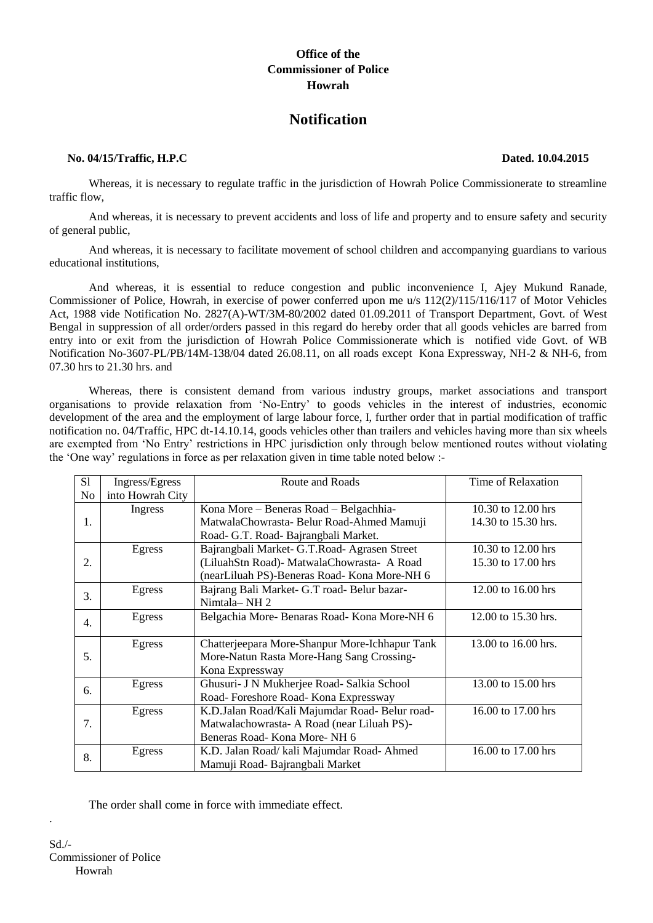## **Office of the Commissioner of Police Howrah**

# **Notification**

#### **No. 04/15/Traffic, H.P.C Dated. 10.04.2015**

Whereas, it is necessary to regulate traffic in the jurisdiction of Howrah Police Commissionerate to streamline traffic flow,

And whereas, it is necessary to prevent accidents and loss of life and property and to ensure safety and security of general public,

And whereas, it is necessary to facilitate movement of school children and accompanying guardians to various educational institutions,

And whereas, it is essential to reduce congestion and public inconvenience I, Ajey Mukund Ranade, Commissioner of Police, Howrah, in exercise of power conferred upon me u/s 112(2)/115/116/117 of Motor Vehicles Act, 1988 vide Notification No. 2827(A)-WT/3M-80/2002 dated 01.09.2011 of Transport Department, Govt. of West Bengal in suppression of all order/orders passed in this regard do hereby order that all goods vehicles are barred from entry into or exit from the jurisdiction of Howrah Police Commissionerate which is notified vide Govt. of WB Notification No-3607-PL/PB/14M-138/04 dated 26.08.11, on all roads except Kona Expressway, NH-2 & NH-6, from 07.30 hrs to 21.30 hrs. and

Whereas, there is consistent demand from various industry groups, market associations and transport organisations to provide relaxation from 'No-Entry' to goods vehicles in the interest of industries, economic development of the area and the employment of large labour force, I, further order that in partial modification of traffic notification no. 04/Traffic, HPC dt-14.10.14, goods vehicles other than trailers and vehicles having more than six wheels are exempted from 'No Entry' restrictions in HPC jurisdiction only through below mentioned routes without violating the 'One way' regulations in force as per relaxation given in time table noted below :-

| S1 | Ingress/Egress   | Route and Roads                                | Time of Relaxation  |
|----|------------------|------------------------------------------------|---------------------|
| No | into Howrah City |                                                |                     |
| 1. | Ingress          | Kona More - Beneras Road - Belgachhia-         | 10.30 to 12.00 hrs  |
|    |                  | MatwalaChowrasta- Belur Road-Ahmed Mamuji      | 14.30 to 15.30 hrs. |
|    |                  | Road- G.T. Road- Bajrangbali Market.           |                     |
| 2. | Egress           | Bajrangbali Market- G.T.Road- Agrasen Street   | 10.30 to 12.00 hrs  |
|    |                  | (LiluahStn Road)- MatwalaChowrasta- A Road     | 15.30 to 17.00 hrs  |
|    |                  | (nearLiluah PS)-Beneras Road- Kona More-NH 6   |                     |
| 3. | Egress           | Bajrang Bali Market- G.T road- Belur bazar-    | 12.00 to 16.00 hrs  |
|    |                  | Nimtala-NH 2                                   |                     |
| 4. | Egress           | Belgachia More-Benaras Road-Kona More-NH 6     | 12.00 to 15.30 hrs. |
|    |                  |                                                |                     |
| 5. | Egress           | Chatterjeepara More-Shanpur More-Ichhapur Tank | 13.00 to 16.00 hrs. |
|    |                  | More-Natun Rasta More-Hang Sang Crossing-      |                     |
|    |                  | Kona Expressway                                |                     |
| 6. | Egress           | Ghusuri- J N Mukherjee Road- Salkia School     | 13.00 to 15.00 hrs  |
|    |                  | Road-Foreshore Road-Kona Expressway            |                     |
| 7. | Egress           | K.D.Jalan Road/Kali Majumdar Road- Belur road- | 16.00 to 17.00 hrs  |
|    |                  | Matwalachowrasta- A Road (near Liluah PS)-     |                     |
|    |                  | Beneras Road-Kona More-NH 6                    |                     |
| 8. | Egress           | K.D. Jalan Road/ kali Majumdar Road- Ahmed     | 16.00 to 17.00 hrs  |
|    |                  | Mamuji Road- Bajrangbali Market                |                     |

The order shall come in force with immediate effect.

.